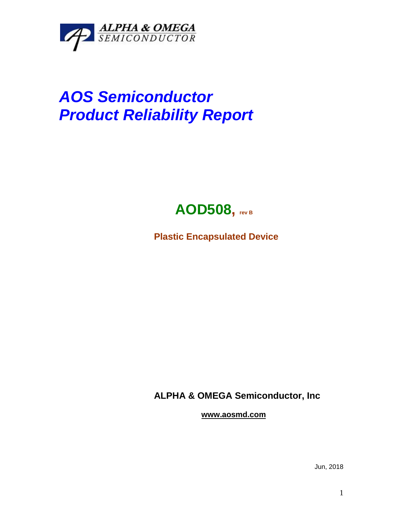

## *AOS Semiconductor Product Reliability Report*



**Plastic Encapsulated Device**

**ALPHA & OMEGA Semiconductor, Inc**

**www.aosmd.com**

Jun, 2018